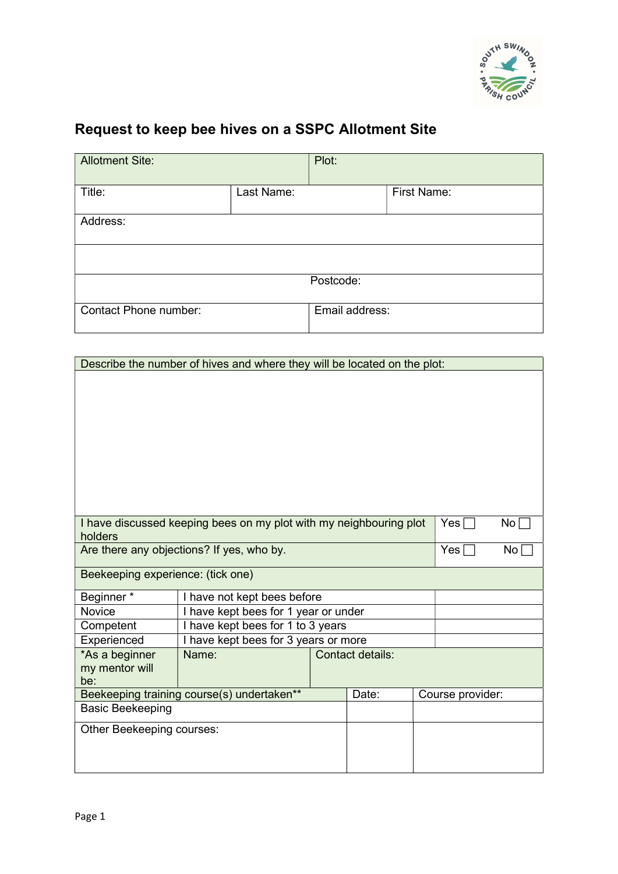

## Request to keep bee hives on a SSPC Allotment Site

| <b>Allotment Site:</b> |            | Plot:          |             |  |  |  |  |
|------------------------|------------|----------------|-------------|--|--|--|--|
| Title:                 | Last Name: |                | First Name: |  |  |  |  |
| Address:               |            |                |             |  |  |  |  |
|                        |            |                |             |  |  |  |  |
| Postcode:              |            |                |             |  |  |  |  |
| Contact Phone number:  |            | Email address: |             |  |  |  |  |

| Describe the number of hives and where they will be located on the plot:      |                                      |                  |       |  |                  |                 |
|-------------------------------------------------------------------------------|--------------------------------------|------------------|-------|--|------------------|-----------------|
|                                                                               |                                      |                  |       |  |                  |                 |
|                                                                               |                                      |                  |       |  |                  |                 |
|                                                                               |                                      |                  |       |  |                  |                 |
|                                                                               |                                      |                  |       |  |                  |                 |
|                                                                               |                                      |                  |       |  |                  |                 |
|                                                                               |                                      |                  |       |  |                  |                 |
|                                                                               |                                      |                  |       |  |                  |                 |
|                                                                               |                                      |                  |       |  |                  |                 |
|                                                                               |                                      |                  |       |  |                  |                 |
| I have discussed keeping bees on my plot with my neighbouring plot<br>holders |                                      |                  |       |  | $Yes \sqcap$     | No l            |
| Are there any objections? If yes, who by.                                     |                                      |                  |       |  | Yes $\Gamma$     | No <sub>1</sub> |
|                                                                               |                                      |                  |       |  |                  |                 |
| Beekeeping experience: (tick one)                                             |                                      |                  |       |  |                  |                 |
| Beginner*                                                                     | I have not kept bees before          |                  |       |  |                  |                 |
| <b>Novice</b>                                                                 | I have kept bees for 1 year or under |                  |       |  |                  |                 |
| Competent                                                                     | I have kept bees for 1 to 3 years    |                  |       |  |                  |                 |
| Experienced                                                                   | I have kept bees for 3 years or more |                  |       |  |                  |                 |
| *As a beginner                                                                | Name:                                | Contact details: |       |  |                  |                 |
| my mentor will<br>be:                                                         |                                      |                  |       |  |                  |                 |
| Beekeeping training course(s) undertaken**                                    |                                      |                  | Date: |  | Course provider: |                 |
| <b>Basic Beekeeping</b>                                                       |                                      |                  |       |  |                  |                 |
| Other Beekeeping courses:                                                     |                                      |                  |       |  |                  |                 |
|                                                                               |                                      |                  |       |  |                  |                 |
|                                                                               |                                      |                  |       |  |                  |                 |
|                                                                               |                                      |                  |       |  |                  |                 |